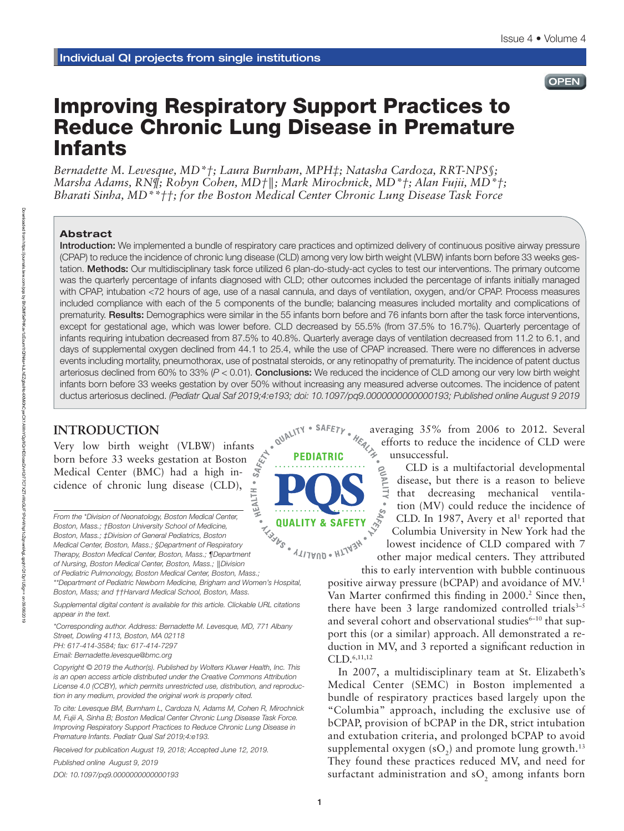## Issue 4 • Volume 4

#### **OPEN**

# Improving Respiratory Support Practices to Reduce Chronic Lung Disease in Premature Infants

*Bernadette M. Levesque, MD\*†; Laura Burnham, MPH‡; Natasha Cardoza, RRT-NPS§; Marsha Adams, RN¶; Robyn Cohen, MD†*║*; Mark Mirochnick, MD\*†; Alan Fujii, MD\*†; Bharati Sinha, MD\*\*††; for the Boston Medical Center Chronic Lung Disease Task Force*

#### Abstract

Introduction: We implemented a bundle of respiratory care practices and optimized delivery of continuous positive airway pressure (CPAP) to reduce the incidence of chronic lung disease (CLD) among very low birth weight (VLBW) infants born before 33 weeks gestation. Methods: Our multidisciplinary task force utilized 6 plan-do-study-act cycles to test our interventions. The primary outcome was the quarterly percentage of infants diagnosed with CLD; other outcomes included the percentage of infants initially managed with CPAP, intubation <72 hours of age, use of a nasal cannula, and days of ventilation, oxygen, and/or CPAP. Process measures included compliance with each of the 5 components of the bundle; balancing measures included mortality and complications of prematurity. Results: Demographics were similar in the 55 infants born before and 76 infants born after the task force interventions, except for gestational age, which was lower before. CLD decreased by 55.5% (from 37.5% to 16.7%). Quarterly percentage of infants requiring intubation decreased from 87.5% to 40.8%. Quarterly average days of ventilation decreased from 11.2 to 6.1, and days of supplemental oxygen declined from 44.1 to 25.4, while the use of CPAP increased. There were no differences in adverse events including mortality, pneumothorax, use of postnatal steroids, or any retinopathy of prematurity. The incidence of patent ductus arteriosus declined from 60% to 33% (*P* < 0.01). Conclusions: We reduced the incidence of CLD among our very low birth weight infants born before 33 weeks gestation by over 50% without increasing any measured adverse outcomes. The incidence of patent ductus arteriosus declined. *(Pediatr Qual Saf 2019;4:e193; doi: 10.1097/pq9.0000000000000193; Published online August 9 2019*

# **INTRODUCTION**

Very low birth weight (VLBW) infants<br>born before 33 weeks gestation at Boston  $\phi$ <br>Medical Center (BMC) had a high inborn before 33 weeks gestation at Boston Medical Center (BMC) had a high incidence of chronic lung disease (CLD),

*From the \*Division of Neonatology, Boston Medical Center, Boston, Mass.; †Boston University School of Medicine, Boston, Mass.; ‡Division of General Pediatrics, Boston Medical Center, Boston, Mass.; §Department of Respiratory Therapy, Boston Medical Center, Boston, Mass.; ¶Department of Nursing, Boston Medical Center, Boston, Mass.;* ║*Division of Pediatric Pulmonology, Boston Medical Center, Boston, Mass.; \*\*Department of Pediatric Newborn Medicine, Brigham and Women's Hospital, Boston, Mass; and ††Harvard Medical School, Boston, Mass.*

*Supplemental digital content is available for this article. Clickable URL citations appear in the text.*

*\*Corresponding author. Address: Bernadette M. Levesque, MD, 771 Albany Street, Dowling 4113, Boston, MA 02118 PH: 617-414-3584; fax: 617-414-7297*

*Email: [Bernadette.levesque@bmc.org](mailto:Bernadette.levesque@bmc.org)*

*Copyright © 2019 the Author(s). Published by Wolters Kluwer Health, Inc. This is an open access article distributed under the [Creative Commons Attribution](http://creativecommons.org/licenses/by/4.0/)  [License 4.0 \(CCBY\),](http://creativecommons.org/licenses/by/4.0/) which permits unrestricted use, distribution, and reproduction in any medium, provided the original work is properly cited.*

*To cite: Levesque BM, Burnham L, Cardoza N, Adams M, Cohen R, Mirochnick M, Fujii A, Sinha B; Boston Medical Center Chronic Lung Disease Task Force. Improving Respiratory Support Practices to Reduce Chronic Lung Disease in Premature Infants. Pediatr Qual Saf 2019;4:e193.*

*Received for publication August 19, 2018; Accepted June 12, 2019.*

*Published online August 9, 2019*

*DOI: 10.1097/pq9.0000000000000193*



averaging 35% from 2006 to 2012. Several efforts to reduce the incidence of CLD were

unsuccessful.<br>  $\geq$  CLD is a<br>  $\geq$  disease, but<br>  $\frac{1}{\sqrt{5}}$  that decre CLD is a multifactorial developmental disease, but there is a reason to believe that decreasing mechanical ventilation (MV) could reduce the incidence of CLD. In 1987, Avery et al<sup>1</sup> reported that Columbia University in New York had the lowest incidence of CLD compared with 7 other major medical centers. They attributed

this to early intervention with bubble continuous positive airway pressure (bCPAP) and avoidance of MV.1 Van Marter confirmed this finding in 2000.<sup>2</sup> Since then, there have been 3 large randomized controlled trials $3-5$ and several cohort and observational studies<sup>6-10</sup> that support this (or a similar) approach. All demonstrated a reduction in MV, and 3 reported a significant reduction in CLD.6,11,12

In 2007, a multidisciplinary team at St. Elizabeth's Medical Center (SEMC) in Boston implemented a bundle of respiratory practices based largely upon the "Columbia" approach, including the exclusive use of bCPAP, provision of bCPAP in the DR, strict intubation and extubation criteria, and prolonged bCPAP to avoid supplemental oxygen (sO<sub>2</sub>) and promote lung growth.<sup>13</sup> They found these practices reduced MV, and need for surfactant administration and  $\mathrm{sO}_2$  among infants born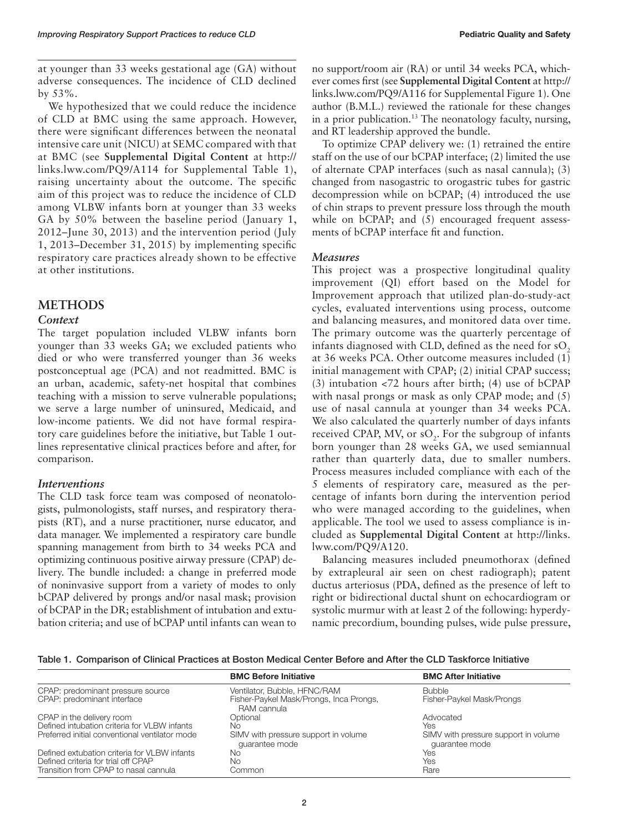at younger than 33 weeks gestational age (GA) without adverse consequences. The incidence of CLD declined by 53%.

We hypothesized that we could reduce the incidence of CLD at BMC using the same approach. However, there were significant differences between the neonatal intensive care unit (NICU) at SEMC compared with that at BMC (see **Supplemental Digital Content** at [http://](http://links.lww.com/PQ9/A114) [links.lww.com/PQ9/A114](http://links.lww.com/PQ9/A114) for Supplemental Table 1), raising uncertainty about the outcome. The specific aim of this project was to reduce the incidence of CLD among VLBW infants born at younger than 33 weeks GA by 50% between the baseline period (January 1, 2012–June 30, 2013) and the intervention period (July 1, 2013–December 31, 2015) by implementing specific respiratory care practices already shown to be effective at other institutions.

## **METHODS**

#### *Context*

The target population included VLBW infants born younger than 33 weeks GA; we excluded patients who died or who were transferred younger than 36 weeks postconceptual age (PCA) and not readmitted. BMC is an urban, academic, safety-net hospital that combines teaching with a mission to serve vulnerable populations; we serve a large number of uninsured, Medicaid, and low-income patients. We did not have formal respiratory care guidelines before the initiative, but Table 1 outlines representative clinical practices before and after, for comparison.

## *Interventions*

The CLD task force team was composed of neonatologists, pulmonologists, staff nurses, and respiratory therapists (RT), and a nurse practitioner, nurse educator, and data manager. We implemented a respiratory care bundle spanning management from birth to 34 weeks PCA and optimizing continuous positive airway pressure (CPAP) delivery. The bundle included: a change in preferred mode of noninvasive support from a variety of modes to only bCPAP delivered by prongs and/or nasal mask; provision of bCPAP in the DR; establishment of intubation and extubation criteria; and use of bCPAP until infants can wean to

no support/room air (RA) or until 34 weeks PCA, whichever comes first (see **Supplemental Digital Content** at [http://](http://links.lww.com/PQ9/A116) [links.lww.com/PQ9/A116](http://links.lww.com/PQ9/A116) for Supplemental Figure 1). One author (B.M.L.) reviewed the rationale for these changes in a prior publication.13 The neonatology faculty, nursing, and RT leadership approved the bundle.

To optimize CPAP delivery we: (1) retrained the entire staff on the use of our bCPAP interface; (2) limited the use of alternate CPAP interfaces (such as nasal cannula); (3) changed from nasogastric to orogastric tubes for gastric decompression while on bCPAP; (4) introduced the use of chin straps to prevent pressure loss through the mouth while on bCPAP; and (5) encouraged frequent assessments of bCPAP interface fit and function.

#### *Measures*

This project was a prospective longitudinal quality improvement (QI) effort based on the Model for Improvement approach that utilized plan-do-study-act cycles, evaluated interventions using process, outcome and balancing measures, and monitored data over time. The primary outcome was the quarterly percentage of infants diagnosed with CLD, defined as the need for  $sO<sub>2</sub>$ at 36 weeks PCA. Other outcome measures included (1) initial management with CPAP; (2) initial CPAP success; (3) intubation <72 hours after birth; (4) use of bCPAP with nasal prongs or mask as only CPAP mode; and (5) use of nasal cannula at younger than 34 weeks PCA. We also calculated the quarterly number of days infants received CPAP, MV, or  $sO_2$ . For the subgroup of infants born younger than 28 weeks GA, we used semiannual rather than quarterly data, due to smaller numbers. Process measures included compliance with each of the 5 elements of respiratory care, measured as the percentage of infants born during the intervention period who were managed according to the guidelines, when applicable. The tool we used to assess compliance is included as **Supplemental Digital Content** at [http://links.](http://links.lww.com/PQ9/A120) [lww.com/PQ9/A120](http://links.lww.com/PQ9/A120).

Balancing measures included pneumothorax (defined by extrapleural air seen on chest radiograph); patent ductus arteriosus (PDA, defined as the presence of left to right or bidirectional ductal shunt on echocardiogram or systolic murmur with at least 2 of the following: hyperdynamic precordium, bounding pulses, wide pulse pressure,

Table 1. Comparison of Clinical Practices at Boston Medical Center Before and After the CLD Taskforce Initiative

|                                                                  | <b>BMC Before Initiative</b>                                            | <b>BMC After Initiative</b>                            |
|------------------------------------------------------------------|-------------------------------------------------------------------------|--------------------------------------------------------|
| CPAP: predominant pressure source<br>CPAP: predominant interface | Ventilator, Bubble, HFNC/RAM<br>Fisher-Paykel Mask/Prongs, Inca Prongs, | <b>Bubble</b><br>Fisher-Paykel Mask/Prongs             |
|                                                                  | RAM cannula                                                             |                                                        |
| CPAP in the delivery room                                        | Optional                                                                | Advocated                                              |
| Defined intubation criteria for VLBW infants                     | Nο                                                                      | Yes                                                    |
| Preferred initial conventional ventilator mode                   | SIMV with pressure support in volume<br>quarantee mode                  | SIMV with pressure support in volume<br>quarantee mode |
| Defined extubation criteria for VLBW infants                     | Nο                                                                      | Yes                                                    |
| Defined criteria for trial off CPAP                              | Nο                                                                      | Yes                                                    |
| Transition from CPAP to nasal cannula                            | Common                                                                  | Rare                                                   |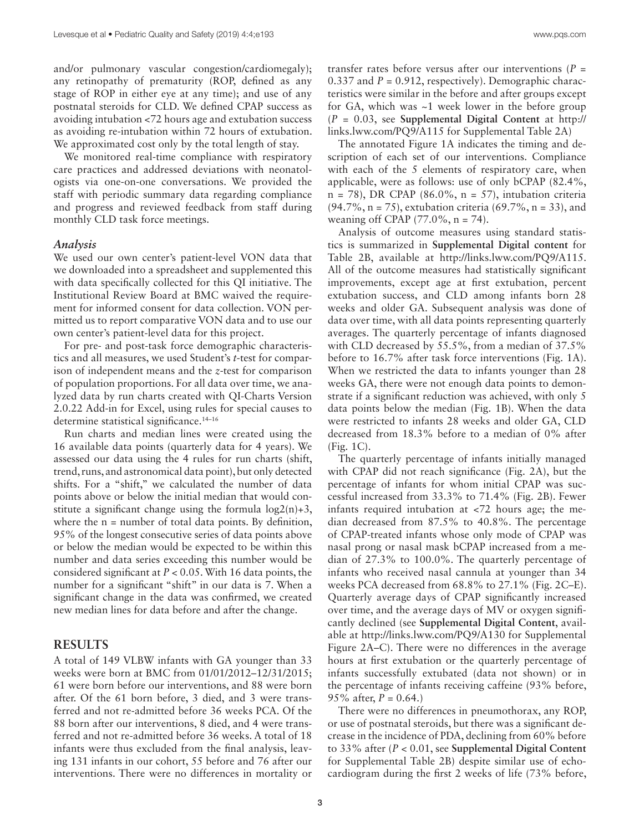and/or pulmonary vascular congestion/cardiomegaly); any retinopathy of prematurity (ROP, defined as any stage of ROP in either eye at any time); and use of any postnatal steroids for CLD. We defined CPAP success as avoiding intubation <72 hours age and extubation success as avoiding re-intubation within 72 hours of extubation. We approximated cost only by the total length of stay.

We monitored real-time compliance with respiratory care practices and addressed deviations with neonatologists via one-on-one conversations. We provided the staff with periodic summary data regarding compliance and progress and reviewed feedback from staff during monthly CLD task force meetings.

#### *Analysis*

We used our own center's patient-level VON data that we downloaded into a spreadsheet and supplemented this with data specifically collected for this QI initiative. The Institutional Review Board at BMC waived the requirement for informed consent for data collection. VON permitted us to report comparative VON data and to use our own center's patient-level data for this project.

For pre- and post-task force demographic characteristics and all measures, we used Student's *t*-test for comparison of independent means and the *z*-test for comparison of population proportions. For all data over time, we analyzed data by run charts created with QI-Charts Version 2.0.22 Add-in for Excel, using rules for special causes to determine statistical significance.<sup>14-16</sup>

Run charts and median lines were created using the 16 available data points (quarterly data for 4 years). We assessed our data using the 4 rules for run charts (shift, trend, runs, and astronomical data point), but only detected shifts. For a "shift," we calculated the number of data points above or below the initial median that would constitute a significant change using the formula  $log2(n)+3$ , where the  $n =$  number of total data points. By definition, 95% of the longest consecutive series of data points above or below the median would be expected to be within this number and data series exceeding this number would be considered significant at *P* < 0.05. With 16 data points, the number for a significant "shift" in our data is 7. When a significant change in the data was confirmed, we created new median lines for data before and after the change.

#### **RESULTS**

A total of 149 VLBW infants with GA younger than 33 weeks were born at BMC from 01/01/2012–12/31/2015; 61 were born before our interventions, and 88 were born after. Of the 61 born before, 3 died, and 3 were transferred and not re-admitted before 36 weeks PCA. Of the 88 born after our interventions, 8 died, and 4 were transferred and not re-admitted before 36 weeks. A total of 18 infants were thus excluded from the final analysis, leaving 131 infants in our cohort, 55 before and 76 after our interventions. There were no differences in mortality or

transfer rates before versus after our interventions  $(P =$ 0.337 and *P* = 0.912, respectively). Demographic characteristics were similar in the before and after groups except for GA, which was ~1 week lower in the before group (*P* = 0.03, see **Supplemental Digital Content** at [http://](http://links.lww.com/PQ9/A115) [links.lww.com/PQ9/A115](http://links.lww.com/PQ9/A115) for Supplemental Table 2A)

The annotated Figure 1A indicates the timing and description of each set of our interventions. Compliance with each of the 5 elements of respiratory care, when applicable, were as follows: use of only bCPAP (82.4%,  $n = 78$ ), DR CPAP (86.0%,  $n = 57$ ), intubation criteria (94.7%, n = 75), extubation criteria (69.7%, n = 33), and weaning off CPAP  $(77.0\%, n = 74)$ .

Analysis of outcome measures using standard statistics is summarized in **Supplemental Digital content** for Table 2B, available at [http://links.lww.com/PQ9/A115.](//links.lww.com/PQ9/A115) All of the outcome measures had statistically significant improvements, except age at first extubation, percent extubation success, and CLD among infants born 28 weeks and older GA. Subsequent analysis was done of data over time, with all data points representing quarterly averages. The quarterly percentage of infants diagnosed with CLD decreased by 55.5%, from a median of 37.5% before to 16.7% after task force interventions (Fig. 1A). When we restricted the data to infants younger than 28 weeks GA, there were not enough data points to demonstrate if a significant reduction was achieved, with only 5 data points below the median (Fig. 1B). When the data were restricted to infants 28 weeks and older GA, CLD decreased from 18.3% before to a median of 0% after (Fig. 1C).

The quarterly percentage of infants initially managed with CPAP did not reach significance (Fig. 2A), but the percentage of infants for whom initial CPAP was successful increased from 33.3% to 71.4% (Fig. 2B). Fewer infants required intubation at <72 hours age; the median decreased from 87.5% to 40.8%. The percentage of CPAP-treated infants whose only mode of CPAP was nasal prong or nasal mask bCPAP increased from a median of 27.3% to 100.0%. The quarterly percentage of infants who received nasal cannula at younger than 34 weeks PCA decreased from 68.8% to 27.1% (Fig. 2C–E). Quarterly average days of CPAP significantly increased over time, and the average days of MV or oxygen significantly declined (see **Supplemental Digital Content**, available a[t http://links.lww.com/PQ9/A130 f](//links.lww.com/PQ9/A130 )or Supplemental Figure 2A–C). There were no differences in the average hours at first extubation or the quarterly percentage of infants successfully extubated (data not shown) or in the percentage of infants receiving caffeine (93% before, 95% after,  $P = 0.64$ .)

There were no differences in pneumothorax, any ROP, or use of postnatal steroids, but there was a significant decrease in the incidence of PDA, declining from 60% before to 33% after (*P* < 0.01, see **Supplemental Digital Content** for Supplemental Table 2B) despite similar use of echocardiogram during the first 2 weeks of life (73% before,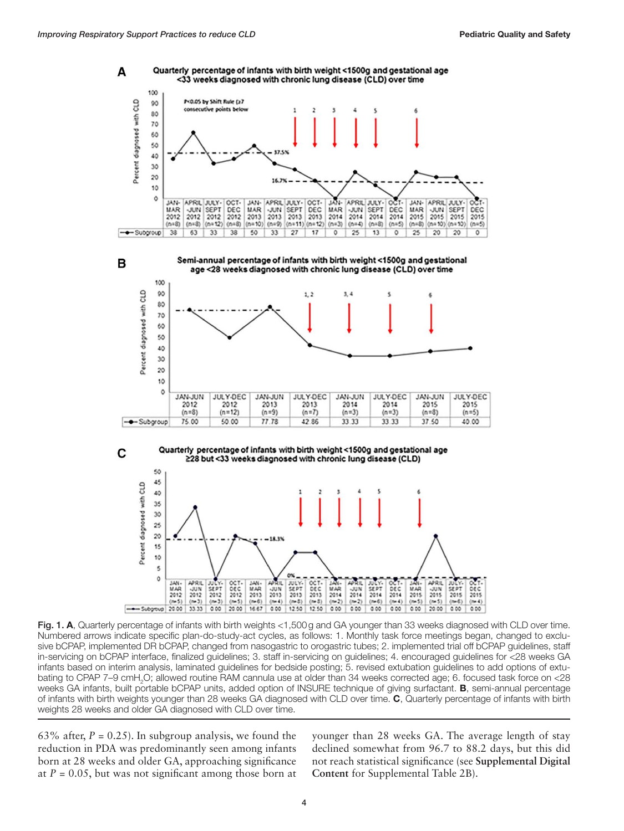









Fig. 1. A, Quarterly percentage of infants with birth weights <1,500g and GA younger than 33 weeks diagnosed with CLD over time. Numbered arrows indicate specific plan-do-study-act cycles, as follows: 1. Monthly task force meetings began, changed to exclusive bCPAP, implemented DR bCPAP, changed from nasogastric to orogastric tubes; 2. implemented trial off bCPAP guidelines, staff in-servicing on bCPAP interface, finalized guidelines; 3. staff in-servicing on guidelines; 4. encouraged guidelines for <28 weeks GA infants based on interim analysis, laminated guidelines for bedside posting; 5. revised extubation guidelines to add options of extubating to CPAP 7–9 cmH<sub>2</sub>O; allowed routine RAM cannula use at older than 34 weeks corrected age; 6. focused task force on <28 weeks GA infants, built portable bCPAP units, added option of INSURE technique of giving surfactant. B, semi-annual percentage of infants with birth weights younger than 28 weeks GA diagnosed with CLD over time. C, Quarterly percentage of infants with birth weights 28 weeks and older GA diagnosed with CLD over time.

63% after,  $P = 0.25$ ). In subgroup analysis, we found the reduction in PDA was predominantly seen among infants born at 28 weeks and older GA, approaching significance at  $P = 0.05$ , but was not significant among those born at younger than 28 weeks GA. The average length of stay declined somewhat from 96.7 to 88.2 days, but this did not reach statistical significance (see **Supplemental Digital Content** for Supplemental Table 2B).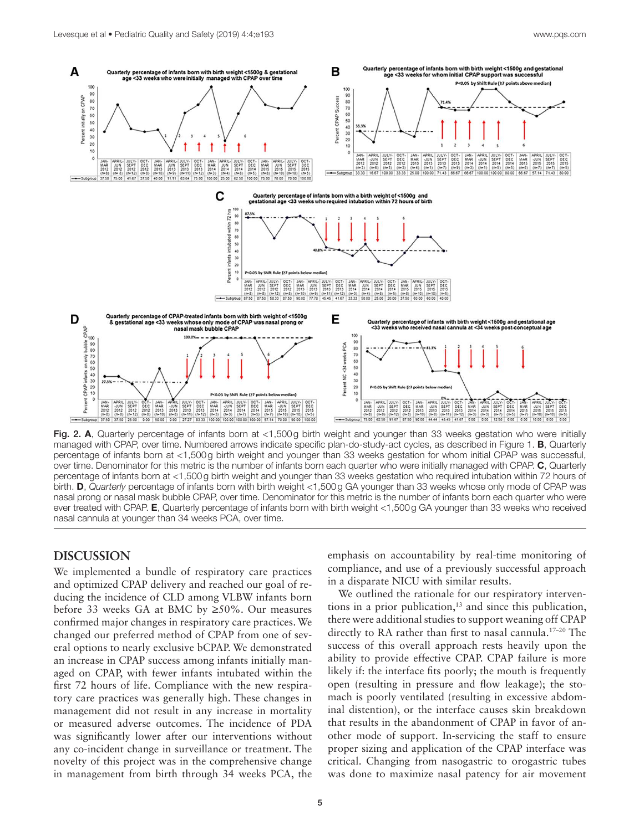

Fig. 2. A, Quarterly percentage of infants born at <1,500g birth weight and younger than 33 weeks gestation who were initially managed with CPAP, over time. Numbered arrows indicate specific plan-do-study-act cycles, as described in Figure 1. B, Quarterly percentage of infants born at <1,500g birth weight and younger than 33 weeks gestation for whom initial CPAP was successful, over time. Denominator for this metric is the number of infants born each quarter who were initially managed with CPAP. C, Quarterly percentage of infants born at <1,500g birth weight and younger than 33 weeks gestation who required intubation within 72 hours of birth. D, *Quarterly* percentage of infants born with birth weight <1,500g GA younger than 33 weeks whose only mode of CPAP was nasal prong or nasal mask bubble CPAP, over time. Denominator for this metric is the number of infants born each quarter who were ever treated with CPAP. E, Quarterly percentage of infants born with birth weight <1,500g GA younger than 33 weeks who received nasal cannula at younger than 34 weeks PCA, over time.

## **DISCUSSION**

We implemented a bundle of respiratory care practices and optimized CPAP delivery and reached our goal of reducing the incidence of CLD among VLBW infants born before 33 weeks GA at BMC by  $\geq 50\%$ . Our measures confirmed major changes in respiratory care practices. We changed our preferred method of CPAP from one of several options to nearly exclusive bCPAP. We demonstrated an increase in CPAP success among infants initially managed on CPAP, with fewer infants intubated within the first 72 hours of life. Compliance with the new respiratory care practices was generally high. These changes in management did not result in any increase in mortality or measured adverse outcomes. The incidence of PDA was significantly lower after our interventions without any co-incident change in surveillance or treatment. The novelty of this project was in the comprehensive change in management from birth through 34 weeks PCA, the emphasis on accountability by real-time monitoring of compliance, and use of a previously successful approach in a disparate NICU with similar results.

We outlined the rationale for our respiratory interventions in a prior publication, $13$  and since this publication, there were additional studies to support weaning off CPAP directly to RA rather than first to nasal cannula.<sup>17-20</sup> The success of this overall approach rests heavily upon the ability to provide effective CPAP. CPAP failure is more likely if: the interface fits poorly; the mouth is frequently open (resulting in pressure and flow leakage); the stomach is poorly ventilated (resulting in excessive abdominal distention), or the interface causes skin breakdown that results in the abandonment of CPAP in favor of another mode of support. In-servicing the staff to ensure proper sizing and application of the CPAP interface was critical. Changing from nasogastric to orogastric tubes was done to maximize nasal patency for air movement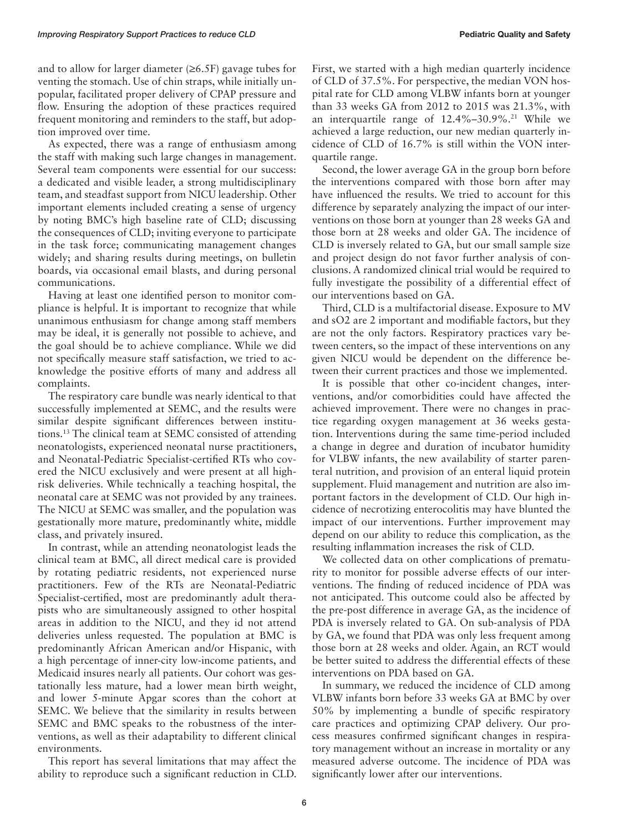and to allow for larger diameter  $(\geq 6.5F)$  gavage tubes for venting the stomach. Use of chin straps, while initially unpopular, facilitated proper delivery of CPAP pressure and flow. Ensuring the adoption of these practices required frequent monitoring and reminders to the staff, but adoption improved over time.

As expected, there was a range of enthusiasm among the staff with making such large changes in management. Several team components were essential for our success: a dedicated and visible leader, a strong multidisciplinary team, and steadfast support from NICU leadership. Other important elements included creating a sense of urgency by noting BMC's high baseline rate of CLD; discussing the consequences of CLD; inviting everyone to participate in the task force; communicating management changes widely; and sharing results during meetings, on bulletin boards, via occasional email blasts, and during personal communications.

Having at least one identified person to monitor compliance is helpful. It is important to recognize that while unanimous enthusiasm for change among staff members may be ideal, it is generally not possible to achieve, and the goal should be to achieve compliance. While we did not specifically measure staff satisfaction, we tried to acknowledge the positive efforts of many and address all complaints.

The respiratory care bundle was nearly identical to that successfully implemented at SEMC, and the results were similar despite significant differences between institutions.13 The clinical team at SEMC consisted of attending neonatologists, experienced neonatal nurse practitioners, and Neonatal-Pediatric Specialist-certified RTs who covered the NICU exclusively and were present at all highrisk deliveries. While technically a teaching hospital, the neonatal care at SEMC was not provided by any trainees. The NICU at SEMC was smaller, and the population was gestationally more mature, predominantly white, middle class, and privately insured.

In contrast, while an attending neonatologist leads the clinical team at BMC, all direct medical care is provided by rotating pediatric residents, not experienced nurse practitioners. Few of the RTs are Neonatal-Pediatric Specialist-certified, most are predominantly adult therapists who are simultaneously assigned to other hospital areas in addition to the NICU, and they id not attend deliveries unless requested. The population at BMC is predominantly African American and/or Hispanic, with a high percentage of inner-city low-income patients, and Medicaid insures nearly all patients. Our cohort was gestationally less mature, had a lower mean birth weight, and lower 5-minute Apgar scores than the cohort at SEMC. We believe that the similarity in results between SEMC and BMC speaks to the robustness of the interventions, as well as their adaptability to different clinical environments.

This report has several limitations that may affect the ability to reproduce such a significant reduction in CLD. First, we started with a high median quarterly incidence of CLD of 37.5%. For perspective, the median VON hospital rate for CLD among VLBW infants born at younger than 33 weeks GA from 2012 to 2015 was 21.3%, with an interquartile range of 12.4%-30.9%.<sup>21</sup> While we achieved a large reduction, our new median quarterly incidence of CLD of 16.7% is still within the VON interquartile range.

Second, the lower average GA in the group born before the interventions compared with those born after may have influenced the results. We tried to account for this difference by separately analyzing the impact of our interventions on those born at younger than 28 weeks GA and those born at 28 weeks and older GA. The incidence of CLD is inversely related to GA, but our small sample size and project design do not favor further analysis of conclusions. A randomized clinical trial would be required to fully investigate the possibility of a differential effect of our interventions based on GA.

Third, CLD is a multifactorial disease. Exposure to MV and sO2 are 2 important and modifiable factors, but they are not the only factors. Respiratory practices vary between centers, so the impact of these interventions on any given NICU would be dependent on the difference between their current practices and those we implemented.

It is possible that other co-incident changes, interventions, and/or comorbidities could have affected the achieved improvement. There were no changes in practice regarding oxygen management at 36 weeks gestation. Interventions during the same time-period included a change in degree and duration of incubator humidity for VLBW infants, the new availability of starter parenteral nutrition, and provision of an enteral liquid protein supplement. Fluid management and nutrition are also important factors in the development of CLD. Our high incidence of necrotizing enterocolitis may have blunted the impact of our interventions. Further improvement may depend on our ability to reduce this complication, as the resulting inflammation increases the risk of CLD.

We collected data on other complications of prematurity to monitor for possible adverse effects of our interventions. The finding of reduced incidence of PDA was not anticipated. This outcome could also be affected by the pre-post difference in average GA, as the incidence of PDA is inversely related to GA. On sub-analysis of PDA by GA, we found that PDA was only less frequent among those born at 28 weeks and older. Again, an RCT would be better suited to address the differential effects of these interventions on PDA based on GA.

In summary, we reduced the incidence of CLD among VLBW infants born before 33 weeks GA at BMC by over 50% by implementing a bundle of specific respiratory care practices and optimizing CPAP delivery. Our process measures confirmed significant changes in respiratory management without an increase in mortality or any measured adverse outcome. The incidence of PDA was significantly lower after our interventions.